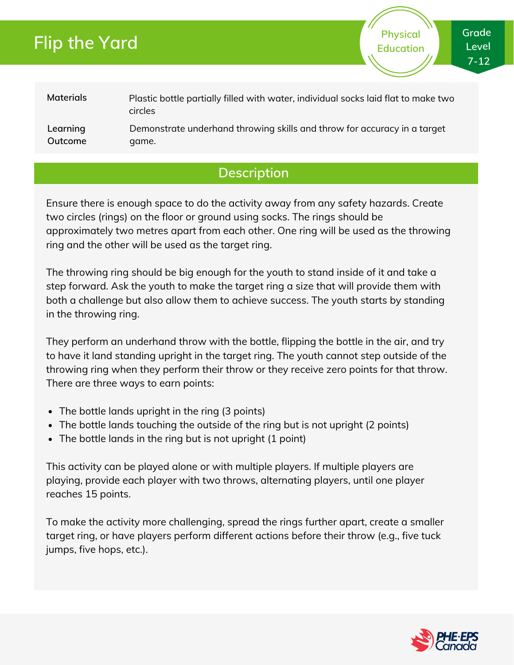# **Flip the Yard**

**Physical Education**

### **Materials** Plastic bottle partially filled with water, individual socks laid flat to make two circles

**Learning Outcome** Demonstrate underhand throwing skills and throw for accuracy in a target game.

## **Description**

Ensure there is enough space to do the activity away from any safety hazards. Create two circles (rings) on the floor or ground using socks. The rings should be approximately two metres apart from each other. One ring will be used as the throwing ring and the other will be used as the target ring.

The throwing ring should be big enough for the youth to stand inside of it and take a step forward. Ask the youth to make the target ring a size that will provide them with both a challenge but also allow them to achieve success. The youth starts by standing in the throwing ring.

They perform an underhand throw with the bottle, flipping the bottle in the air, and try to have it land standing upright in the target ring. The youth cannot step outside of the throwing ring when they perform their throw or they receive zero points for that throw. There are three ways to earn points:

- The bottle lands upright in the ring (3 points)
- The bottle lands touching the outside of the ring but is not upright (2 points)
- The bottle lands in the ring but is not upright (1 point)

This activity can be played alone or with multiple players. If multiple players are playing, provide each player with two throws, alternating players, until one player reaches 15 points.

To make the activity more challenging, spread the rings further apart, create a smaller target ring, or have players perform different actions before their throw (e.g., five tuck jumps, five hops, etc.).